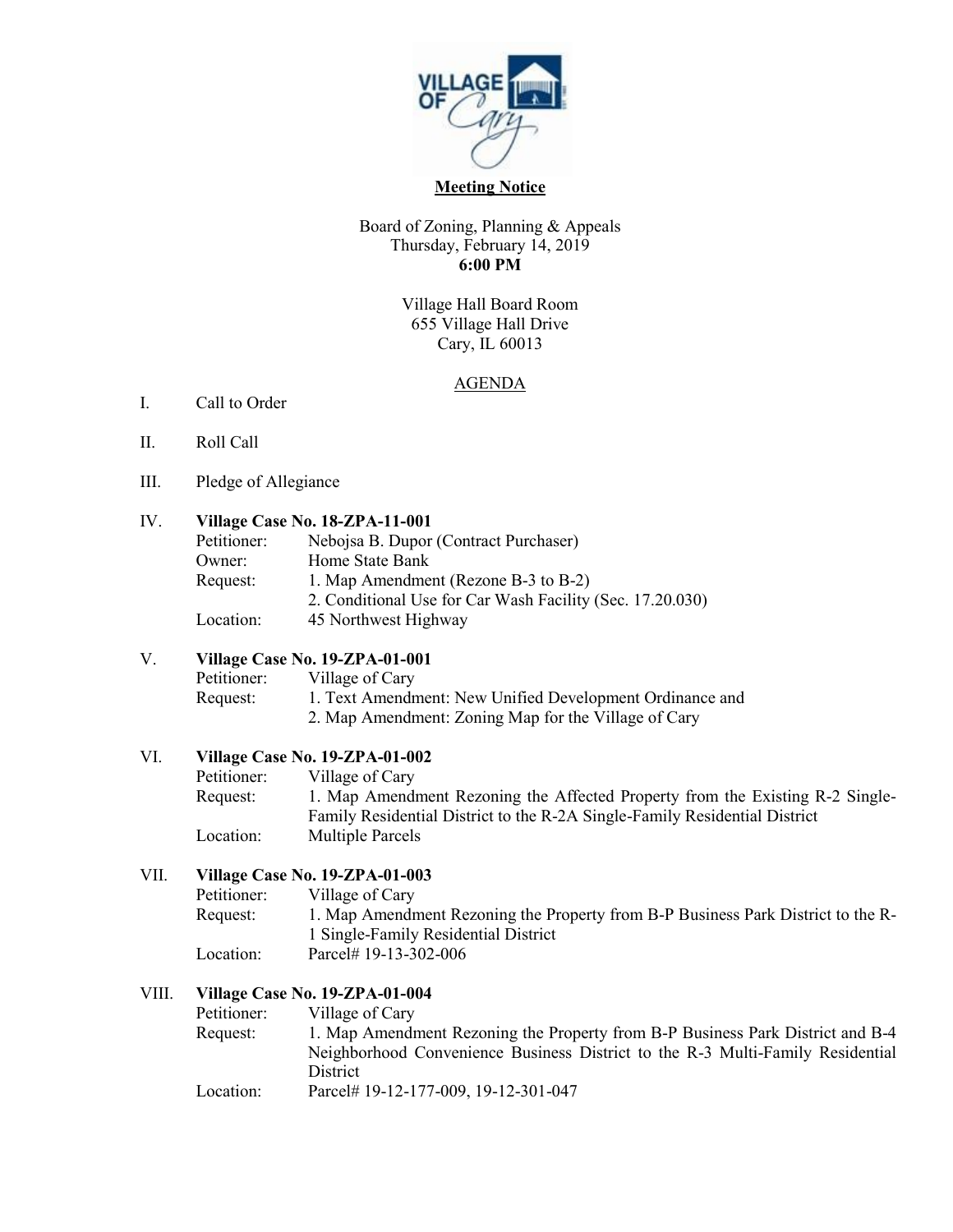

#### **Meeting Notice**

## Board of Zoning, Planning & Appeals Thursday, February 14, 2019 **6:00 PM**

Village Hall Board Room 655 Village Hall Drive Cary, IL 60013

## AGENDA

- I. Call to Order
- II. Roll Call
- III. Pledge of Allegiance

## IV. **Village Case No. 18-ZPA-11-001**

| Petitioner: | Nebojsa B. Dupor (Contract Purchaser)                     |
|-------------|-----------------------------------------------------------|
| Owner:      | Home State Bank                                           |
| Request:    | 1. Map Amendment (Rezone B-3 to B-2)                      |
|             | 2. Conditional Use for Car Wash Facility (Sec. 17.20.030) |
| Location:   | 45 Northwest Highway                                      |

## V. **Village Case No. 19-ZPA-01-001**

Petitioner: Village of Cary Request: 1. Text Amendment: New Unified Development Ordinance and 2. Map Amendment: Zoning Map for the Village of Cary

#### VI. **Village Case No. 19-ZPA-01-002**

Petitioner: Village of Cary Request: 1. Map Amendment Rezoning the Affected Property from the Existing R-2 Single-Family Residential District to the R-2A Single-Family Residential District Location: Multiple Parcels

# VII. **Village Case No. 19-ZPA-01-003**

| Petitioner: | Village of Cary                                                                  |
|-------------|----------------------------------------------------------------------------------|
| Request:    | 1. Map Amendment Rezoning the Property from B-P Business Park District to the R- |
|             | 1 Single-Family Residential District                                             |
| Location:   | Parcel# 19-13-302-006                                                            |

#### VIII. **Village Case No. 19-ZPA-01-004**

| Petitioner: | Village of Cary                                                                |
|-------------|--------------------------------------------------------------------------------|
| Request:    | 1. Map Amendment Rezoning the Property from B-P Business Park District and B-4 |
|             | Neighborhood Convenience Business District to the R-3 Multi-Family Residential |
|             | <b>District</b>                                                                |
| Location:   | Parcel# 19-12-177-009, 19-12-301-047                                           |